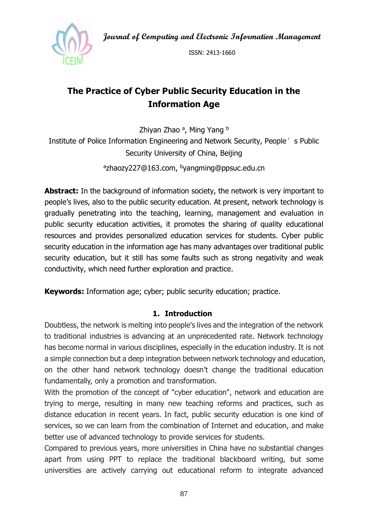**Journal of Computing and Electronic Information Management**



ISSN: 2413-1660

# **The Practice of Cyber Public Security Education in the Information Age**

Zhiyan Zhao <sup>a</sup>, Ming Yang <sup>b</sup> Institute of Police Information Engineering and Network Security, People's Public Security University of China, Beijing azhaozy227@163.com, byangming@ppsuc.edu.cn

**Abstract:** In the background of information society, the network is very important to people's lives, also to the public security education. At present, network technology is gradually penetrating into the teaching, learning, management and evaluation in public security education activities, it promotes the sharing of quality educational resources and provides personalized education services for students. Cyber public security education in the information age has many advantages over traditional public security education, but it still has some faults such as strong negativity and weak conductivity, which need further exploration and practice.

**Keywords:** Information age; cyber; public security education; practice.

#### **1. Introduction**

Doubtless, the network is melting into people's lives and the integration of the network to traditional industries is advancing at an unprecedented rate. Network technology has become normal in various disciplines, especially in the education industry. It is not a simple connection but a deep integration between network technology and education, on the other hand network technology doesn't change the traditional education fundamentally, only a promotion and transformation.

With the promotion of the concept of "cyber education", network and education are trying to merge, resulting in many new teaching reforms and practices, such as distance education in recent years. In fact, public security education is one kind of services, so we can learn from the combination of Internet and education, and make better use of advanced technology to provide services for students.

Compared to previous years, more universities in China have no substantial changes apart from using PPT to replace the traditional blackboard writing, but some universities are actively carrying out educational reform to integrate advanced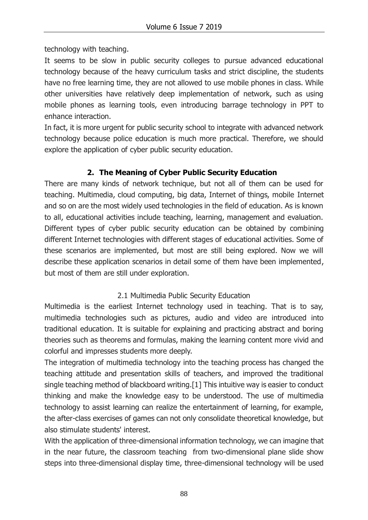technology with teaching.

It seems to be slow in public security colleges to pursue advanced educational technology because of the heavy curriculum tasks and strict discipline, the students have no free learning time, they are not allowed to use mobile phones in class. While other universities have relatively deep implementation of network, such as using mobile phones as learning tools, even introducing barrage technology in PPT to enhance interaction.

In fact, it is more urgent for public security school to integrate with advanced network technology because police education is much more practical. Therefore, we should explore the application of cyber public security education.

## **2. The Meaning of Cyber Public Security Education**

There are many kinds of network technique, but not all of them can be used for teaching. Multimedia, cloud computing, big data, Internet of things, mobile Internet and so on are the most widely used technologies in the field of education. As is known to all, educational activities include teaching, learning, management and evaluation. Different types of cyber public security education can be obtained by combining different Internet technologies with different stages of educational activities. Some of these scenarios are implemented, but most are still being explored. Now we will describe these application scenarios in detail some of them have been implemented, but most of them are still under exploration.

## 2.1 Multimedia Public Security Education

Multimedia is the earliest Internet technology used in teaching. That is to say, multimedia technologies such as pictures, audio and video are introduced into traditional education. It is suitable for explaining and practicing abstract and boring theories such as theorems and formulas, making the learning content more vivid and colorful and impresses students more deeply.

The integration of multimedia technology into the teaching process has changed the teaching attitude and presentation skills of teachers, and improved the traditional single teaching method of blackboard writing.[1] This intuitive way is easier to conduct thinking and make the knowledge easy to be understood. The use of multimedia technology to assist learning can realize the entertainment of learning, for example, the after-class exercises of games can not only consolidate theoretical knowledge, but also stimulate students' interest.

With the application of three-dimensional information technology, we can imagine that in the near future, the classroom teaching from two-dimensional plane slide show steps into three-dimensional display time, three-dimensional technology will be used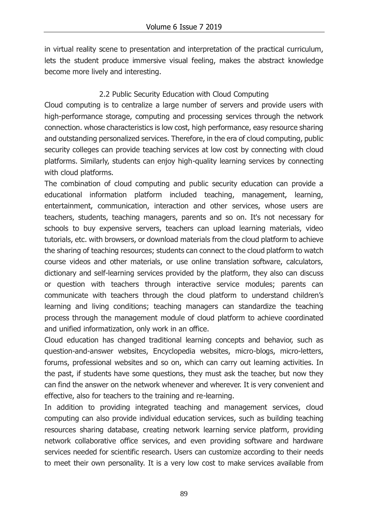in virtual reality scene to presentation and interpretation of the practical curriculum, lets the student produce immersive visual feeling, makes the abstract knowledge become more lively and interesting.

#### 2.2 Public Security Education with Cloud Computing

Cloud computing is to centralize a large number of servers and provide users with high-performance storage, computing and processing services through the network connection. whose characteristics is low cost, high performance, easy resource sharing and outstanding personalized services. Therefore, in the era of cloud computing, public security colleges can provide teaching services at low cost by connecting with cloud platforms. Similarly, students can enjoy high-quality learning services by connecting with cloud platforms.

The combination of cloud computing and public security education can provide a educational information platform included teaching, management, learning, entertainment, communication, interaction and other services, whose users are teachers, students, teaching managers, parents and so on. It's not necessary for schools to buy expensive servers, teachers can upload learning materials, video tutorials, etc. with browsers, or download materials from the cloud platform to achieve the sharing of teaching resources; students can connect to the cloud platform to watch course videos and other materials, or use online translation software, calculators, dictionary and self-learning services provided by the platform, they also can discuss or question with teachers through interactive service modules; parents can communicate with teachers through the cloud platform to understand children's learning and living conditions; teaching managers can standardize the teaching process through the management module of cloud platform to achieve coordinated and unified informatization, only work in an office.

Cloud education has changed traditional learning concepts and behavior, such as question-and-answer websites, Encyclopedia websites, micro-blogs, micro-letters, forums, professional websites and so on, which can carry out learning activities. In the past, if students have some questions, they must ask the teacher, but now they can find the answer on the network whenever and wherever. It is very convenient and effective, also for teachers to the training and re-learning.

In addition to providing integrated teaching and management services, cloud computing can also provide individual education services, such as building teaching resources sharing database, creating network learning service platform, providing network collaborative office services, and even providing software and hardware services needed for scientific research. Users can customize according to their needs to meet their own personality. It is a very low cost to make services available from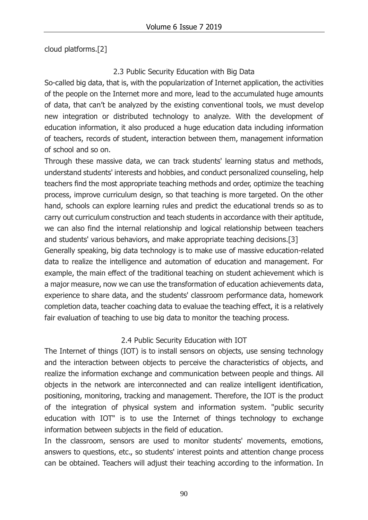cloud platforms.[2]

#### 2.3 Public Security Education with Big Data

So-called big data, that is, with the popularization of Internet application, the activities of the people on the Internet more and more, lead to the accumulated huge amounts of data, that can't be analyzed by the existing conventional tools, we must develop new integration or distributed technology to analyze. With the development of education information, it also produced a huge education data including information of teachers, records of student, interaction between them, management information of school and so on.

Through these massive data, we can track students' learning status and methods, understand students' interests and hobbies, and conduct personalized counseling, help teachers find the most appropriate teaching methods and order, optimize the teaching process, improve curriculum design, so that teaching is more targeted. On the other hand, schools can explore learning rules and predict the educational trends so as to carry out curriculum construction and teach students in accordance with their aptitude, we can also find the internal relationship and logical relationship between teachers and students' various behaviors, and make appropriate teaching decisions.[3] Generally speaking, big data technology is to make use of massive education-related data to realize the intelligence and automation of education and management. For example, the main effect of the traditional teaching on student achievement which is a major measure, now we can use the transformation of education achievements data, experience to share data, and the students' classroom performance data, homework completion data, teacher coaching data to evaluae the teaching effect, it is a relatively fair evaluation of teaching to use big data to monitor the teaching process.

## 2.4 Public Security Education with IOT

The Internet of things (IOT) is to install sensors on objects, use sensing technology and the interaction between objects to perceive the characteristics of objects, and realize the information exchange and communication between people and things. All objects in the network are interconnected and can realize intelligent identification, positioning, monitoring, tracking and management. Therefore, the IOT is the product of the integration of physical system and information system. "public security education with IOT" is to use the Internet of things technology to exchange information between subjects in the field of education.

In the classroom, sensors are used to monitor students' movements, emotions, answers to questions, etc., so students' interest points and attention change process can be obtained. Teachers will adjust their teaching according to the information. In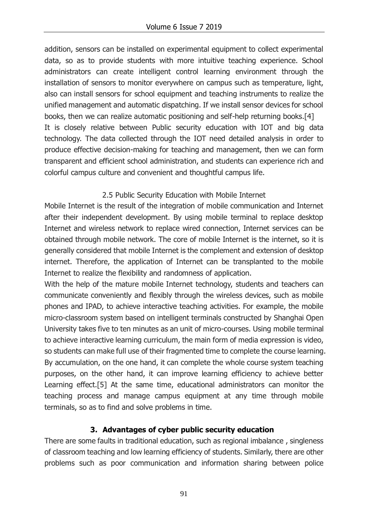addition, sensors can be installed on experimental equipment to collect experimental data, so as to provide students with more intuitive teaching experience. School administrators can create intelligent control learning environment through the installation of sensors to monitor everywhere on campus such as temperature, light, also can install sensors for school equipment and teaching instruments to realize the unified management and automatic dispatching. If we install sensor devices for school books, then we can realize automatic positioning and self-help returning books.[4] It is closely relative between Public security education with IOT and big data technology. The data collected through the IOT need detailed analysis in order to produce effective decision-making for teaching and management, then we can form transparent and efficient school administration, and students can experience rich and colorful campus culture and convenient and thoughtful campus life.

#### 2.5 Public Security Education with Mobile Internet

Mobile Internet is the result of the integration of mobile communication and Internet after their independent development. By using mobile terminal to replace desktop Internet and wireless network to replace wired connection, Internet services can be obtained through mobile network. The core of mobile Internet is the internet, so it is generally considered that mobile Internet is the complement and extension of desktop internet. Therefore, the application of Internet can be transplanted to the mobile Internet to realize the flexibility and randomness of application.

With the help of the mature mobile Internet technology, students and teachers can communicate conveniently and flexibly through the wireless devices, such as mobile phones and IPAD, to achieve interactive teaching activities. For example, the mobile micro-classroom system based on intelligent terminals constructed by Shanghai Open University takes five to ten minutes as an unit of micro-courses. Using mobile terminal to achieve interactive learning curriculum, the main form of media expression is video, so students can make full use of their fragmented time to complete the course learning. By accumulation, on the one hand, it can complete the whole course system teaching purposes, on the other hand, it can improve learning efficiency to achieve better Learning effect.[5] At the same time, educational administrators can monitor the teaching process and manage campus equipment at any time through mobile terminals, so as to find and solve problems in time.

## **3. Advantages of cyber public security education**

There are some faults in traditional education, such as regional imbalance , singleness of classroom teaching and low learning efficiency of students. Similarly, there are other problems such as poor communication and information sharing between police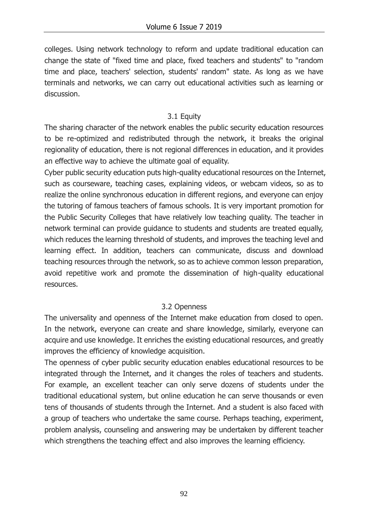colleges. Using network technology to reform and update traditional education can change the state of "fixed time and place, fixed teachers and students" to "random time and place, teachers' selection, students' random" state. As long as we have terminals and networks, we can carry out educational activities such as learning or discussion.

#### 3.1 Equity

The sharing character of the network enables the public security education resources to be re-optimized and redistributed through the network, it breaks the original regionality of education, there is not regional differences in education, and it provides an effective way to achieve the ultimate goal of equality.

Cyber public security education puts high-quality educational resources on the Internet, such as courseware, teaching cases, explaining videos, or webcam videos, so as to realize the online synchronous education in different regions, and everyone can enjoy the tutoring of famous teachers of famous schools. It is very important promotion for the Public Security Colleges that have relatively low teaching quality. The teacher in network terminal can provide guidance to students and students are treated equally, which reduces the learning threshold of students, and improves the teaching level and learning effect. In addition, teachers can communicate, discuss and download teaching resources through the network, so as to achieve common lesson preparation, avoid repetitive work and promote the dissemination of high-quality educational resources.

## 3.2 Openness

The universality and openness of the Internet make education from closed to open. In the network, everyone can create and share knowledge, similarly, everyone can acquire and use knowledge. It enriches the existing educational resources, and greatly improves the efficiency of knowledge acquisition.

The openness of cyber public security education enables educational resources to be integrated through the Internet, and it changes the roles of teachers and students. For example, an excellent teacher can only serve dozens of students under the traditional educational system, but online education he can serve thousands or even tens of thousands of students through the Internet. And a student is also faced with a group of teachers who undertake the same course. Perhaps teaching, experiment, problem analysis, counseling and answering may be undertaken by different teacher which strengthens the teaching effect and also improves the learning efficiency.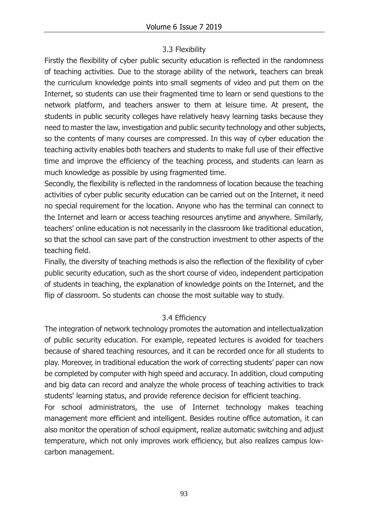#### 3.3 Flexibility

Firstly the flexibility of cyber public security education is reflected in the randomness of teaching activities. Due to the storage ability of the network, teachers can break the curriculum knowledge points into small segments of video and put them on the Internet, so students can use their fragmented time to learn or send questions to the network platform, and teachers answer to them at leisure time. At present, the students in public security colleges have relatively heavy learning tasks because they need to master the law, investigation and public security technology and other subjects, so the contents of many courses are compressed. In this way of cyber education the teaching activity enables both teachers and students to make full use of their effective time and improve the efficiency of the teaching process, and students can learn as much knowledge as possible by using fragmented time.

Secondly, the flexibility is reflected in the randomness of location because the teaching activities of cyber public security education can be carried out on the Internet, it need no special requirement for the location. Anyone who has the terminal can connect to the Internet and learn or access teaching resources anytime and anywhere. Similarly, teachers' online education is not necessarily in the classroom like traditional education, so that the school can save part of the construction investment to other aspects of the teaching field.

Finally, the diversity of teaching methods is also the reflection of the flexibility of cyber public security education, such as the short course of video, independent participation of students in teaching, the explanation of knowledge points on the Internet, and the flip of classroom. So students can choose the most suitable way to study.

## 3.4 Efficiency

The integration of network technology promotes the automation and intellectualization of public security education. For example, repeated lectures is avoided for teachers because of shared teaching resources, and it can be recorded once for all students to play. Moreover, in traditional education the work of correcting students' paper can now be completed by computer with high speed and accuracy. In addition, cloud computing and big data can record and analyze the whole process of teaching activities to track students' learning status, and provide reference decision for efficient teaching.

For school administrators, the use of Internet technology makes teaching management more efficient and intelligent. Besides routine office automation, it can also monitor the operation of school equipment, realize automatic switching and adjust temperature, which not only improves work efficiency, but also realizes campus lowcarbon management.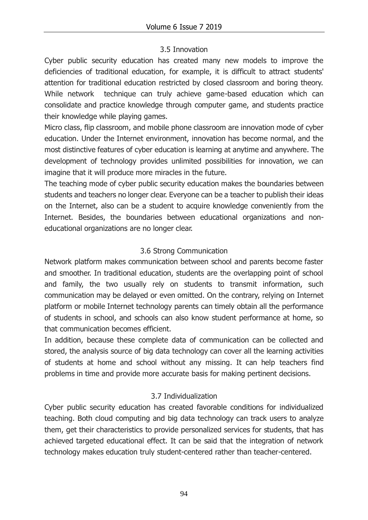## 3.5 Innovation

Cyber public security education has created many new models to improve the deficiencies of traditional education, for example, it is difficult to attract students' attention for traditional education restricted by closed classroom and boring theory. While network technique can truly achieve game-based education which can consolidate and practice knowledge through computer game, and students practice their knowledge while playing games.

Micro class, flip classroom, and mobile phone classroom are innovation mode of cyber education. Under the Internet environment, innovation has become normal, and the most distinctive features of cyber education is learning at anytime and anywhere. The development of technology provides unlimited possibilities for innovation, we can imagine that it will produce more miracles in the future.

The teaching mode of cyber public security education makes the boundaries between students and teachers no longer clear. Everyone can be a teacher to publish their ideas on the Internet, also can be a student to acquire knowledge conveniently from the Internet. Besides, the boundaries between educational organizations and noneducational organizations are no longer clear.

## 3.6 Strong Communication

Network platform makes communication between school and parents become faster and smoother. In traditional education, students are the overlapping point of school and family, the two usually rely on students to transmit information, such communication may be delayed or even omitted. On the contrary, relying on Internet platform or mobile Internet technology parents can timely obtain all the performance of students in school, and schools can also know student performance at home, so that communication becomes efficient.

In addition, because these complete data of communication can be collected and stored, the analysis source of big data technology can cover all the learning activities of students at home and school without any missing. It can help teachers find problems in time and provide more accurate basis for making pertinent decisions.

## 3.7 Individualization

Cyber public security education has created favorable conditions for individualized teaching. Both cloud computing and big data technology can track users to analyze them, get their characteristics to provide personalized services for students, that has achieved targeted educational effect. It can be said that the integration of network technology makes education truly student-centered rather than teacher-centered.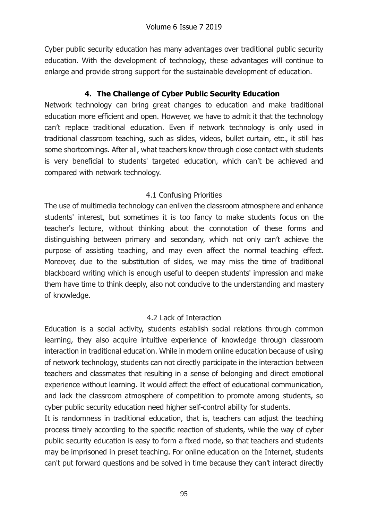Cyber public security education has many advantages over traditional public security education. With the development of technology, these advantages will continue to enlarge and provide strong support for the sustainable development of education.

#### **4. The Challenge of Cyber Public Security Education**

Network technology can bring great changes to education and make traditional education more efficient and open. However, we have to admit it that the technology can't replace traditional education. Even if network technology is only used in traditional classroom teaching, such as slides, videos, bullet curtain, etc., it still has some shortcomings. After all, what teachers know through close contact with students is very beneficial to students' targeted education, which can't be achieved and compared with network technology.

#### 4.1 Confusing Priorities

The use of multimedia technology can enliven the classroom atmosphere and enhance students' interest, but sometimes it is too fancy to make students focus on the teacher's lecture, without thinking about the connotation of these forms and distinguishing between primary and secondary, which not only can't achieve the purpose of assisting teaching, and may even affect the normal teaching effect. Moreover, due to the substitution of slides, we may miss the time of traditional blackboard writing which is enough useful to deepen students' impression and make them have time to think deeply, also not conducive to the understanding and mastery of knowledge.

## 4.2 Lack of Interaction

Education is a social activity, students establish social relations through common learning, they also acquire intuitive experience of knowledge through classroom interaction in traditional education. While in modern online education because of using of network technology, students can not directly participate in the interaction between teachers and classmates that resulting in a sense of belonging and direct emotional experience without learning. It would affect the effect of educational communication, and lack the classroom atmosphere of competition to promote among students, so cyber public security education need higher self-control ability for students.

It is randomness in traditional education, that is, teachers can adjust the teaching process timely according to the specific reaction of students, while the way of cyber public security education is easy to form a fixed mode, so that teachers and students may be imprisoned in preset teaching. For online education on the Internet, students can't put forward questions and be solved in time because they can't interact directly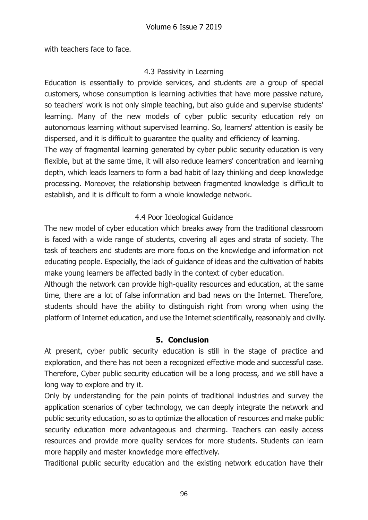with teachers face to face.

#### 4.3 Passivity in Learning

Education is essentially to provide services, and students are a group of special customers, whose consumption is learning activities that have more passive nature, so teachers' work is not only simple teaching, but also guide and supervise students' learning. Many of the new models of cyber public security education rely on autonomous learning without supervised learning. So, learners' attention is easily be dispersed, and it is difficult to guarantee the quality and efficiency of learning.

The way of fragmental learning generated by cyber public security education is very flexible, but at the same time, it will also reduce learners' concentration and learning depth, which leads learners to form a bad habit of lazy thinking and deep knowledge processing. Moreover, the relationship between fragmented knowledge is difficult to establish, and it is difficult to form a whole knowledge network.

#### 4.4 Poor Ideological Guidance

The new model of cyber education which breaks away from the traditional classroom is faced with a wide range of students, covering all ages and strata of society. The task of teachers and students are more focus on the knowledge and information not educating people. Especially, the lack of guidance of ideas and the cultivation of habits make young learners be affected badly in the context of cyber education.

Although the network can provide high-quality resources and education, at the same time, there are a lot of false information and bad news on the Internet. Therefore, students should have the ability to distinguish right from wrong when using the platform of Internet education, and use the Internet scientifically, reasonably and civilly.

#### **5. Conclusion**

At present, cyber public security education is still in the stage of practice and exploration, and there has not been a recognized effective mode and successful case. Therefore, Cyber public security education will be a long process, and we still have a long way to explore and try it.

Only by understanding for the pain points of traditional industries and survey the application scenarios of cyber technology, we can deeply integrate the network and public security education, so as to optimize the allocation of resources and make public security education more advantageous and charming. Teachers can easily access resources and provide more quality services for more students. Students can learn more happily and master knowledge more effectively.

Traditional public security education and the existing network education have their